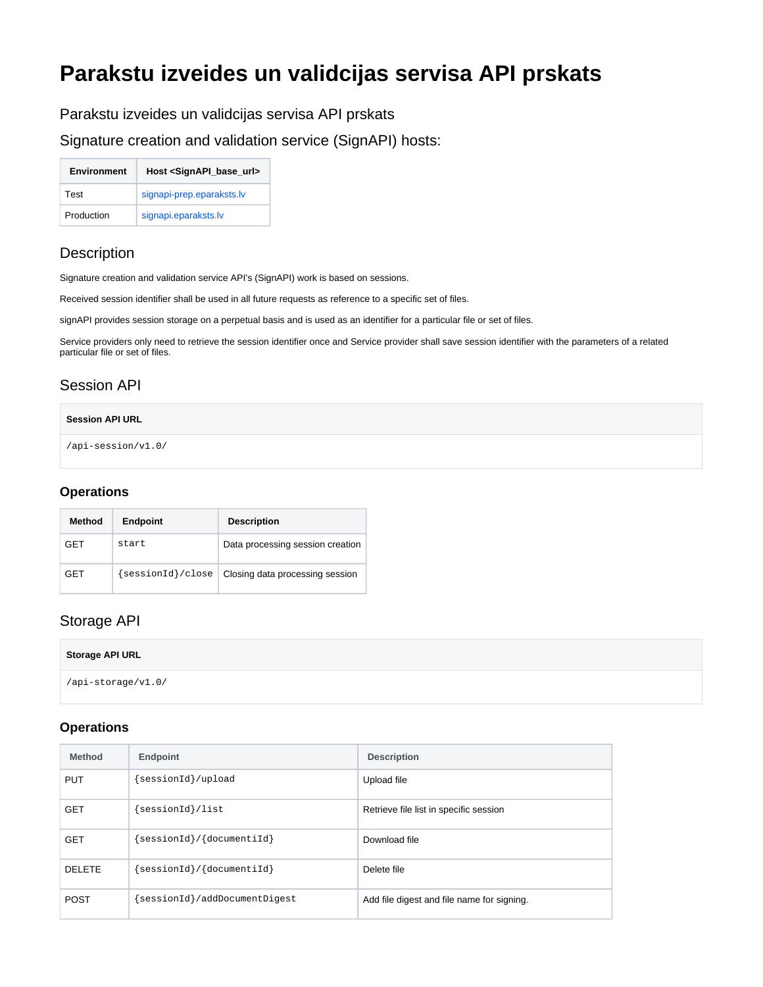# **Parakstu izveides un validcijas servisa API prskats**

Parakstu izveides un validcijas servisa API prskats

Signature creation and validation service (SignAPI) hosts:

| <b>Environment</b> | Host <signapi_base_url></signapi_base_url> |
|--------------------|--------------------------------------------|
| Test               | signapi-prep.eparaksts.lv                  |
| Production         | signapi.eparaksts.lv                       |

# **Description**

Signature creation and validation service API's (SignAPI) work is based on sessions.

Received session identifier shall be used in all future requests as reference to a specific set of files.

signAPI provides session storage on a perpetual basis and is used as an identifier for a particular file or set of files.

Service providers only need to retrieve the session identifier once and Service provider shall save session identifier with the parameters of a related particular file or set of files.

# Session API

#### **Session API URL**

/api-session/v1.0/

#### **Operations**

| Method     | <b>Endpoint</b>   | <b>Description</b>               |
|------------|-------------------|----------------------------------|
| <b>GET</b> | start.            | Data processing session creation |
| <b>GET</b> | {sessionId}/close | Closing data processing session  |

### Storage API

| Storage API URL    |  |
|--------------------|--|
| /api-storage/v1.0/ |  |

### **Operations**

| <b>Method</b> | <b>Endpoint</b>              | <b>Description</b>                         |
|---------------|------------------------------|--------------------------------------------|
| <b>PUT</b>    | sessionId}/upload            | Upload file                                |
| <b>GET</b>    | sessionId}/list              | Retrieve file list in specific session     |
| <b>GET</b>    | sessionId}/{documentiId}     | Download file                              |
| DELETE        | sessionId }/ {documentiId}   | Delete file                                |
| <b>POST</b>   | sessionId}/addDocumentDigest | Add file digest and file name for signing. |